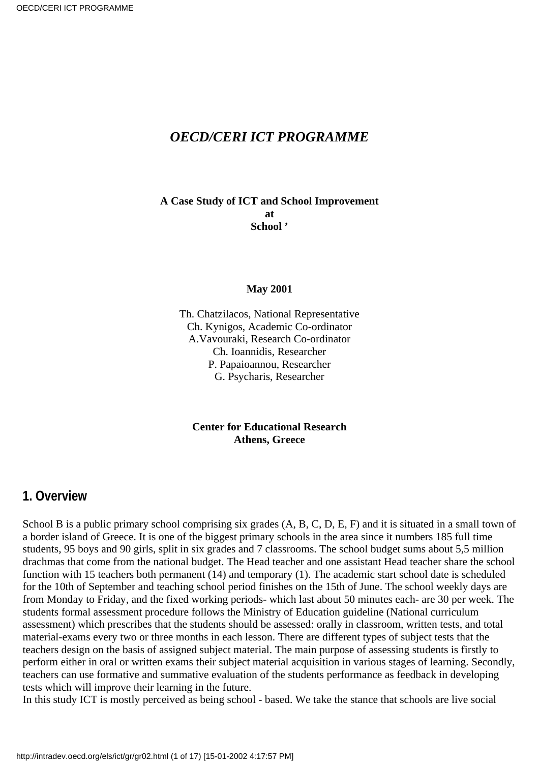### *OECD/CERI ICT PROGRAMME*

**A Case Study of ICT and School Improvement at School '**

#### **May 2001**

Th. Chatzilacos, National Representative Ch. Kynigos, Academic Co-ordinator A.Vavouraki, Research Co-ordinator Ch. Ioannidis, Researcher P. Papaioannou, Researcher G. Psycharis, Researcher

**Center for Educational Research Athens, Greece**

#### **1. Overview**

School B is a public primary school comprising six grades  $(A, B, C, D, E, F)$  and it is situated in a small town of a border island of Greece. It is one of the biggest primary schools in the area since it numbers 185 full time students, 95 boys and 90 girls, split in six grades and 7 classrooms. The school budget sums about 5,5 million drachmas that come from the national budget. The Head teacher and one assistant Head teacher share the school function with 15 teachers both permanent (14) and temporary (1). The academic start school date is scheduled for the 10th of September and teaching school period finishes on the 15th of June. The school weekly days are from Monday to Friday, and the fixed working periods- which last about 50 minutes each- are 30 per week. The students formal assessment procedure follows the Ministry of Education guideline (National curriculum assessment) which prescribes that the students should be assessed: orally in classroom, written tests, and total material-exams every two or three months in each lesson. There are different types of subject tests that the teachers design on the basis of assigned subject material. The main purpose of assessing students is firstly to perform either in oral or written exams their subject material acquisition in various stages of learning. Secondly, teachers can use formative and summative evaluation of the students performance as feedback in developing tests which will improve their learning in the future.

In this study ICT is mostly perceived as being school - based. We take the stance that schools are live social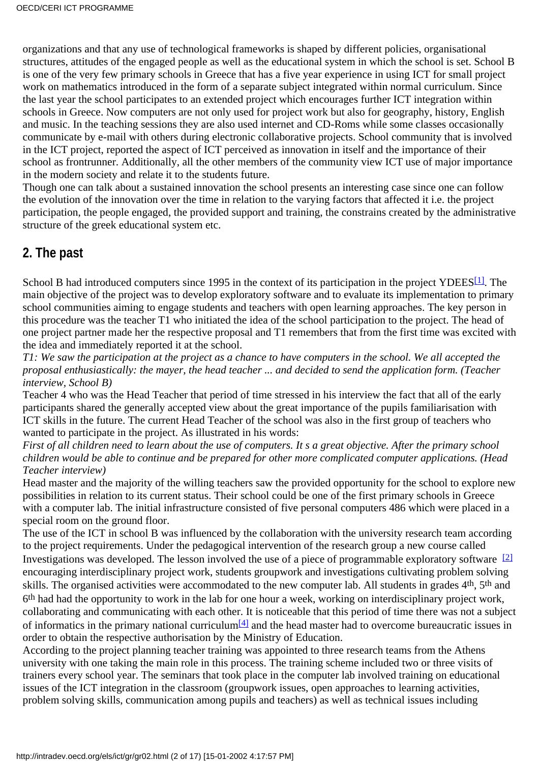organizations and that any use of technological frameworks is shaped by different policies, organisational structures, attitudes of the engaged people as well as the educational system in which the school is set. School B is one of the very few primary schools in Greece that has a five year experience in using ICT for small project work on mathematics introduced in the form of a separate subject integrated within normal curriculum. Since the last year the school participates to an extended project which encourages further ICT integration within schools in Greece. Now computers are not only used for project work but also for geography, history, English and music. In the teaching sessions they are also used internet and CD-Roms while some classes occasionally communicate by e-mail with others during electronic collaborative projects. School community that is involved in the ICT project, reported the aspect of ICT perceived as innovation in itself and the importance of their school as frontrunner. Additionally, all the other members of the community view ICT use of major importance in the modern society and relate it to the students future.

Though one can talk about a sustained innovation the school presents an interesting case since one can follow the evolution of the innovation over the time in relation to the varying factors that affected it i.e. the project participation, the people engaged, the provided support and training, the constrains created by the administrative structure of the greek educational system etc.

### **2. The past**

<span id="page-1-0"></span>School B had introduced computers since 1995 in the context of its participation in the project YDEES<sup>[1]</sup>. The main objective of the project was to develop exploratory software and to evaluate its implementation to primary school communities aiming to engage students and teachers with open learning approaches. The key person in this procedure was the teacher T1 who initiated the idea of the school participation to the project. The head of one project partner made her the respective proposal and T1 remembers that from the first time was excited with the idea and immediately reported it at the school.

*T1: We saw the participation at the project as a chance to have computers in the school. We all accepted the proposal enthusiastically: the mayer, the head teacher ... and decided to send the application form. (Teacher interview, School B)*

Teacher 4 who was the Head Teacher that period of time stressed in his interview the fact that all of the early participants shared the generally accepted view about the great importance of the pupils familiarisation with ICT skills in the future. The current Head Teacher of the school was also in the first group of teachers who wanted to participate in the project. As illustrated in his words:

*First of all children need to learn about the use of computers. It s a great objective. After the primary school children would be able to continue and be prepared for other more complicated computer applications. (Head Teacher interview)*

Head master and the majority of the willing teachers saw the provided opportunity for the school to explore new possibilities in relation to its current status. Their school could be one of the first primary schools in Greece with a computer lab. The initial infrastructure consisted of five personal computers 486 which were placed in a special room on the ground floor.

<span id="page-1-1"></span>The use of the ICT in school B was influenced by the collaboration with the university research team according to the project requirements. Under the pedagogical intervention of the research group a new course called Investigations was developed. The lesson involved the use of a piece of programmable exploratory software<sup>[\[2\]](#page-15-1)</sup> encouraging interdisciplinary project work, students groupwork and investigations cultivating problem solving skills. The organised activities were accommodated to the new computer lab. All students in grades 4<sup>th</sup>, 5<sup>th</sup> and 6th had had the opportunity to work in the lab for one hour a week, working on interdisciplinary project work, collaborating and communicating with each other. It is noticeable that this period of time there was not a subject of informatics in the primary national curriculu[m\[4\]](#page-15-2) and the head master had to overcome bureaucratic issues in order to obtain the respective authorisation by the Ministry of Education.

<span id="page-1-2"></span>According to the project planning teacher training was appointed to three research teams from the Athens university with one taking the main role in this process. The training scheme included two or three visits of trainers every school year. The seminars that took place in the computer lab involved training on educational issues of the ICT integration in the classroom (groupwork issues, open approaches to learning activities, problem solving skills, communication among pupils and teachers) as well as technical issues including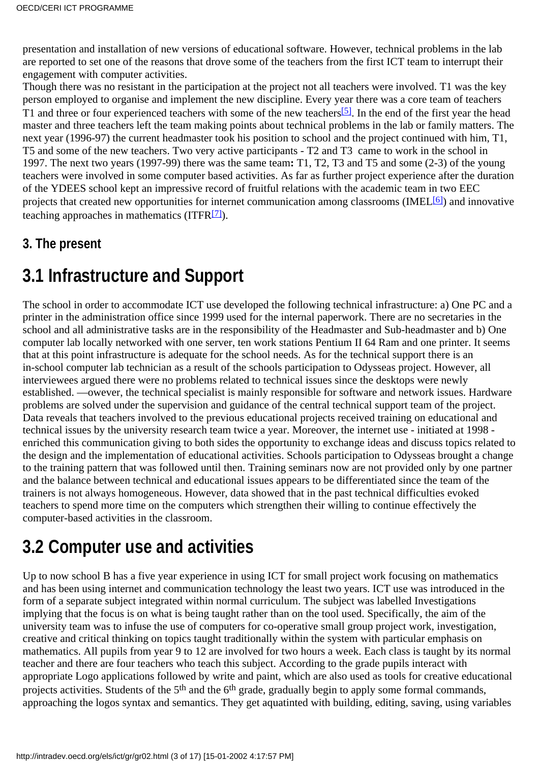presentation and installation of new versions of educational software. However, technical problems in the lab are reported to set one of the reasons that drove some of the teachers from the first ICT team to interrupt their engagement with computer activities.

<span id="page-2-0"></span>Though there was no resistant in the participation at the project not all teachers were involved. T1 was the key person employed to organise and implement the new discipline. Every year there was a core team of teachers T1 and three or four experienced teachers with some of the new teachers<sup>[\[5\]](#page-15-3)</sup>. In the end of the first year the head master and three teachers left the team making points about technical problems in the lab or family matters. The next year (1996-97) the current headmaster took his position to school and the project continued with him, T1, T5 and some of the new teachers. Two very active participants - T2 and T3 came to work in the school in 1997. The next two years (1997-99) there was the same team**:** T1, T2, T3 and T5 and some (2-3) of the young teachers were involved in some computer based activities. As far as further project experience after the duration of the YDEES school kept an impressive record of fruitful relations with the academic team in two EEC projects that created new opportunities for internet communication among classrooms (IMEL<sup>[6]</sup>) and innovative teaching approaches in mathematics  $(ITFR<sup>[7]</sup>)$ .

### <span id="page-2-2"></span><span id="page-2-1"></span>**3. The present**

## **3.1 Infrastructure and Support**

The school in order to accommodate ICT use developed the following technical infrastructure: a) One PC and a printer in the administration office since 1999 used for the internal paperwork. There are no secretaries in the school and all administrative tasks are in the responsibility of the Headmaster and Sub-headmaster and b) One computer lab locally networked with one server, ten work stations Pentium II 64 Ram and one printer. It seems that at this point infrastructure is adequate for the school needs. As for the technical support there is an in-school computer lab technician as a result of the school s participation to Odysseas project. However, all interviewees argued there were no problems related to technical issues since the desktops were newly established. —owever, the technical specialist is mainly responsible for software and network issues. Hardware problems are solved under the supervision and guidance of the central technical support team of the project. Data reveals that teachers involved to the previous educational projects received training on educational and technical issues by the university research team twice a year. Moreover, the internet use - initiated at 1998 enriched this communication giving to both sides the opportunity to exchange ideas and discuss topics related to the design and the implementation of educational activities. Schools participation to Odysseas brought a change to the training pattern that was followed until then. Training seminars now are not provided only by one partner and the balance between technical and educational issues appears to be differentiated since the team of the trainers is not always homogeneous. However, data showed that in the past technical difficulties evoked teachers to spend more time on the computers which strengthen their willing to continue effectively the computer-based activities in the classroom.

## **3.2 Computer use and activities**

Up to now school B has a five year experience in using ICT for small project work focusing on mathematics and has been using internet and communication technology the least two years. ICT use was introduced in the form of a separate subject integrated within normal curriculum. The subject was labelled Investigations implying that the focus is on what is being taught rather than on the tool used. Specifically, the aim of the university team was to infuse the use of computers for co-operative small group project work, investigation, creative and critical thinking on topics taught traditionally within the system with particular emphasis on mathematics. All pupils from year 9 to 12 are involved for two hours a week. Each class is taught by its normal teacher and there are four teachers who teach this subject. According to the grade pupils interact with appropriate Logo applications followed by write and paint, which are also used as tools for creative educational projects activities. Students of the 5<sup>th</sup> and the 6<sup>th</sup> grade, gradually begin to apply some formal commands, approaching the logos syntax and semantics. They get aquatinted with building, editing, saving, using variables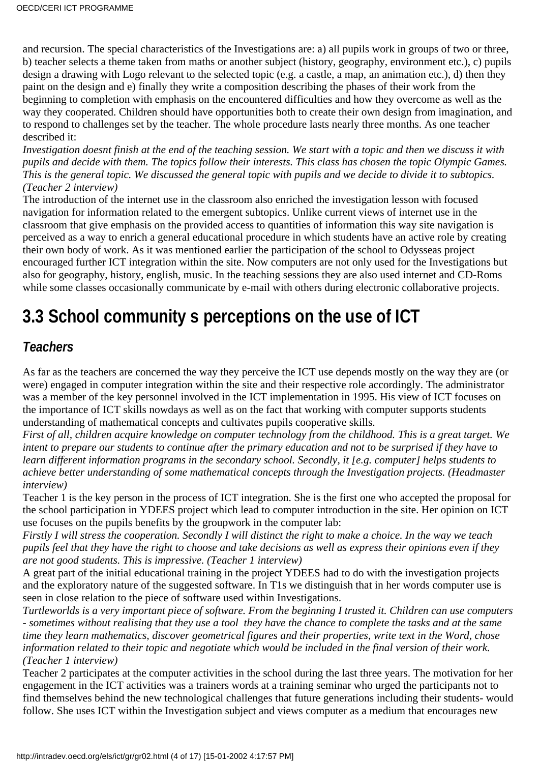and recursion. The special characteristics of the Investigations are: a) all pupils work in groups of two or three, b) teacher selects a theme taken from maths or another subject (history, geography, environment etc.), c) pupils design a drawing with Logo relevant to the selected topic (e.g. a castle, a map, an animation etc.), d) then they paint on the design and e) finally they write a composition describing the phases of their work from the beginning to completion with emphasis on the encountered difficulties and how they overcome as well as the way they cooperated. Children should have opportunities both to create their own design from imagination, and to respond to challenges set by the teacher. The whole procedure lasts nearly three months. As one teacher described it:

*Investigation doesnt finish at the end of the teaching session. We start with a topic and then we discuss it with pupils and decide with them. The topics follow their interests. This class has chosen the topic Olympic Games. This is the general topic. We discussed the general topic with pupils and we decide to divide it to subtopics. (Teacher 2 interview)*

The introduction of the internet use in the classroom also enriched the investigation lesson with focused navigation for information related to the emergent subtopics. Unlike current views of internet use in the classroom that give emphasis on the provided access to quantities of information this way site navigation is perceived as a way to enrich a general educational procedure in which students have an active role by creating their own body of work. As it was mentioned earlier the participation of the school to Odysseas project encouraged further ICT integration within the site. Now computers are not only used for the Investigations but also for geography, history, english, music. In the teaching sessions they are also used internet and CD-Roms while some classes occasionally communicate by e-mail with others during electronic collaborative projects.

# **3.3 School communitys perceptions on the use of ICT**

### *Teachers*

As far as the teachers are concerned the way they perceive the ICT use depends mostly on the way they are (or were) engaged in computer integration within the site and their respective role accordingly. The administrator was a member of the key personnel involved in the ICT implementation in 1995. His view of ICT focuses on the importance of ICT skills nowdays as well as on the fact that working with computer supports student s understanding of mathematical concepts and cultivates pupils cooperative skills.

*First of all, children acquire knowledge on computer technology from the childhood. This is a great target. We intent to prepare our students to continue after the primary education and not to be surprised if they have to learn different information programs in the secondary school. Secondly, it [e.g. computer] helps students to achieve better understanding of some mathematical concepts through the Investigation projects. (Headmaster interview)*

Teacher 1 is the key person in the process of ICT integration. She is the first one who accepted the proposal for the school participation in YDEES project which lead to computer introduction in the site. Her opinion on ICT use focuses on the pupil s benefits by the groupwork in the computer lab:

*Firstly I will stress the cooperation. Secondly I will distinct the right to make a choice. In the way we teach pupils feel that they have the right to choose and take decisions as well as express their opinions even if they are not good students. This is impressive. (Teacher 1 interview)*

A great part of the initial educational training in the project YDEES had to do with the investigation projects and the exploratory nature of the suggested software. In T1 s we distinguish that in her words computer use is seen in close relation to the piece of software used within Investigations.

*Turtleworlds is a very important piece of software. From the beginning I trusted it. Children can use computers - sometimes without realising that they use a tool they have the chance to complete the tasks and at the same time they learn mathematics, discover geometrical figures and their properties, write text in the Word, chose information related to their topic and negotiate which would be included in the final version of their work. (Teacher 1 interview)*

Teacher 2 participates at the computer activities in the school during the last three years. The motivation for her engagement in the ICT activities was a trainer s words at a training seminar who urged the participants not to find themselves behind the new technological challenges that future generations including their students- would follow. She uses ICT within the Investigation subject and views computer as a medium that encourages new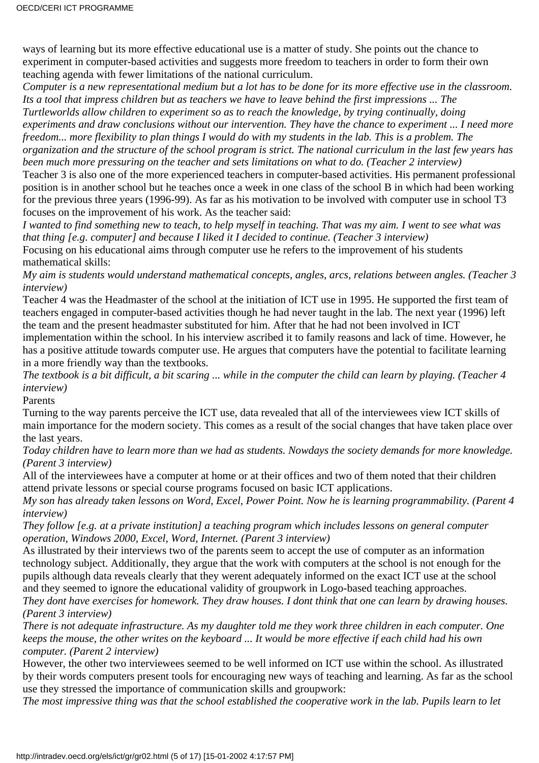ways of learning but its more effective educational use is a matter of study. She points out the chance to experiment in computer-based activities and suggests more freedom to teachers in order to form their own teaching agenda with fewer limitations of the national curriculum.

*Computer is a new representational medium but a lot has to be done for its more effective use in the classroom. Its a tool that impress children but as teachers we have to leave behind the first impressions ... The Turtleworlds allow children to experiment so as to reach the knowledge, by trying continually, doing experiments and draw conclusions without our intervention. They have the chance to experiment ... I need more freedom... more flexibility to plan things I would do with my students in the lab. This is a problem. The organization and the structure of the school program is strict. The national curriculum in the last few years has been much more pressuring on the teacher and sets limitations on what to do. (Teacher 2 interview)*

Teacher 3 is also one of the more experienced teachers in computer-based activities. His permanent professional position is in another school but he teaches once a week in one class of the school B in which had been working for the previous three years (1996-99). As far as his motivation to be involved with computer use in school T3 focuses on the improvement of his work. As the teacher said:

*I wanted to find something new to teach, to help myself in teaching. That was my aim. I went to see what was that thing [e.g. computer] and because I liked it I decided to continue. (Teacher 3 interview)*

Focusing on his educational aims through computer use he refers to the improvement of his student s mathematical skills:

*My aim is students would understand mathematical concepts, angles, arcs, relations between angles. (Teacher 3 interview)*

Teacher 4 was the Headmaster of the school at the initiation of ICT use in 1995. He supported the first team of teachers engaged in computer-based activities though he had never taught in the lab. The next year (1996) left the team and the present headmaster substituted for him. After that he had not been involved in ICT

implementation within the school. In his interview ascribed it to family reasons and lack of time. However, he has a positive attitude towards computer use. He argues that computers have the potential to facilitate learning in a more friendly way than the textbooks.

*The textbook is a bit difficult, a bit scaring ... while in the computer the child can learn by playing. (Teacher 4 interview)*

Parents

Turning to the way parents perceive the ICT use, data revealed that all of the interviewees view ICT skills of main importance for the modern society. This comes as a result of the social changes that have taken place over the last years.

*Today children have to learn more than we had as students. Nowdays the society demands for more knowledge. (Parent 3 interview)*

All of the interviewees have a computer at home or at their offices and two of them noted that their children attend private lessons or special course programs focused on basic ICT applications.

*My son has already taken lessons on Word, Excel, Power Point. Now he is learning programmability. (Parent 4 interview)*

*They follow [e.g. at a private institution] a teaching program which includes lessons on general computer operation, Windows 2000, Excel, Word, Internet. (Parent 3 interview)*

As illustrated by their interviews two of the parents seem to accept the use of computer as an information technology subject. Additionally, they argue that the work with computers at the school is not enough for the pupils although data reveals clearly that they weren t adequately informed on the exact ICT use at the school and they seemed to ignore the educational validity of groupwork in Logo-based teaching approaches.

*They dont have exercises for homework. They draw houses. I dont think that one can learn by drawing houses. (Parent 3 interview)*

*There is not adequate infrastructure. As my daughter told me they work three children in each computer. One keeps the mouse, the other writes on the keyboard ... It would be more effective if each child had his own computer. (Parent 2 interview)*

However, the other two interviewees seemed to be well informed on ICT use within the school. As illustrated by their words computers present tools for encouraging new ways of teaching and learning. As far as the school use they stressed the importance of communication skills and groupwork:

*The most impressive thing was that the school established the cooperative work in the lab. Pupils learn to let*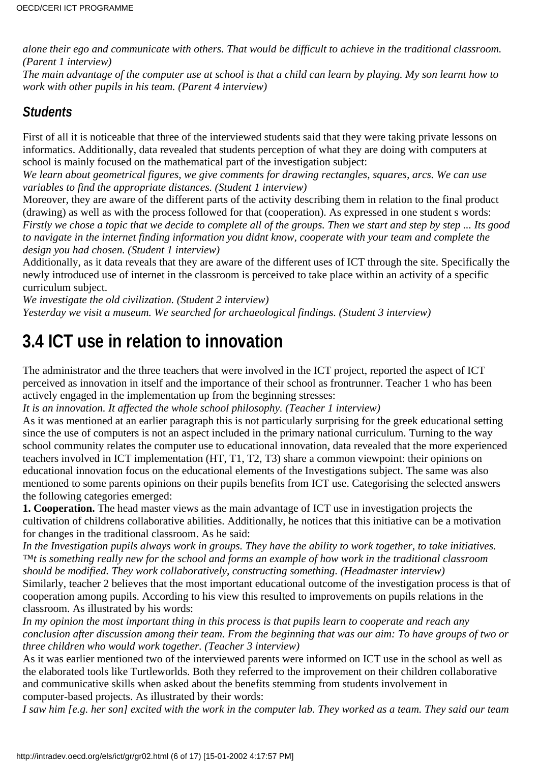*alone their ego and communicate with others. That would be difficult to achieve in the traditional classroom. (Parent 1 interview)*

*The main advantage of the computer use at school is that a child can learn by playing. My son learnt how to work with other pupils in his team. (Parent 4 interview)*

### *Students*

First of all it is noticeable that three of the interviewed students said that they were taking private lessons on informatics. Additionally, data revealed that students perception of what they are doing with computers at school is mainly focused on the mathematical part of the investigation subject:

*We learn about geometrical figures, we give comments for drawing rectangles, squares, arcs. We can use variables to find the appropriate distances. (Student 1 interview)*

Moreover, they are aware of the different parts of the activity describing them in relation to the final product (drawing) as well as with the process followed for that (cooperation). As expressed in one student s words: *Firstly we chose a topic that we decide to complete all of the groups. Then we start and step by step ... Its good to navigate in the internet finding information you didnt know, cooperate with your team and complete the design you had chosen. (Student 1 interview)*

Additionally, as it data reveals that they are aware of the different uses of ICT through the site. Specifically the newly introduced use of internet in the classroom is perceived to take place within an activity of a specific curriculum subject.

*We investigate the old civilization. (Student 2 interview) Yesterday we visit a museum. We searched for archaeological findings. (Student 3 interview)*

## **3.4 ICT use in relation to innovation**

The administrator and the three teachers that were involved in the ICT project, reported the aspect of ICT perceived as innovation in itself and the importance of their school as frontrunner. Teacher 1 who has been actively engaged in the implementation up from the beginning stresses:

*It is an innovation. It affected the whole school philosophy. (Teacher 1 interview)*

As it was mentioned at an earlier paragraph this is not particularly surprising for the greek educational setting since the use of computers is not an aspect included in the primary national curriculum. Turning to the way school community relates the computer use to educational innovation, data revealed that the more experienced teachers involved in ICT implementation (HT, T1, T2, T3) share a common viewpoint: their opinions on educational innovation focus on the educational elements of the Investigations subject. The same was also mentioned to some parents opinions on their pupils benefits from ICT use. Categorising the selected answers the following categories emerged:

**1. Cooperation.** The head master views as the main advantage of ICT use in investigation projects the cultivation of childrens collaborative abilities. Additionally, he notices that this initiative can be a motivation for changes in the traditional classroom. As he said:

*In the Investigation pupils always work in groups. They have the ability to work together, to take initiatives. ™t is something really new for the school and forms an example of how work in the traditional classroom should be modified. They work collaboratively, constructing something. (Headmaster interview)*

Similarly, teacher 2 believes that the most important educational outcome of the investigation process is that of cooperation among pupils. According to his view this resulted to improvements on pupils relations in the classroom. As illustrated by his words:

*In my opinion the most important thing in this process is that pupils learn to cooperate and reach any conclusion after discussion among their team. From the beginning that was our aim: To have groups of two or three children who would work together. (Teacher 3 interview)*

As it was earlier mentioned two of the interviewed parents were informed on ICT use in the school as well as the elaborated tools like Turtleworlds. Both they referred to the improvement on their children collaborative and communicative skills when asked about the benefits stemming from students involvement in computer-based projects. As illustrated by their words:

*I saw him [e.g. her son] excited with the work in the computer lab. They worked as a team. They said our team*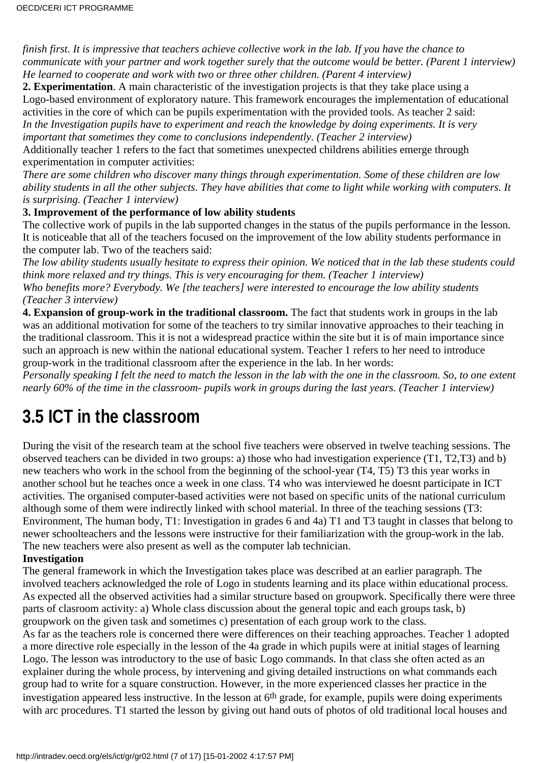*finish first. It is impressive that teachers achieve collective work in the lab. If you have the chance to communicate with your partner and work together surely that the outcome would be better. (Parent 1 interview) He learned to cooperate and work with two or three other children. (Parent 4 interview)*

**2. Experimentation**. A main characteristic of the investigation projects is that they take place using a Logo-based environment of exploratory nature. This framework encourages the implementation of educational activities in the core of which can be pupils experimentation with the provided tools. As teacher 2 said: *In the Investigation pupils have to experiment and reach the knowledge by doing experiments. It is very*

*important that sometimes they come to conclusions independently. (Teacher 2 interview)*

Additionally teacher 1 refers to the fact that sometimes unexpected children s abilities emerge through experimentation in computer activities:

*There are some children who discover many things through experimentation. Some of these children are low ability students in all the other subjects. They have abilities that come to light while working with computers. It is surprising. (Teacher 1 interview)*

#### **3. Improvement of the performance of low ability students**

The collective work of pupils in the lab supported changes in the status of the pupils performance in the lesson. It is noticeable that all of the teachers focused on the improvement of the low ability students performance in the computer lab. Two of the teachers said:

*The low ability students usually hesitate to express their opinion. We noticed that in the lab these students could think more relaxed and try things. This is very encouraging for them. (Teacher 1 interview) Who benefits more? Everybody. We [the teachers] were interested to encourage the low ability students (Teacher 3 interview)*

**4. Expansion of group-work in the traditional classroom.** The fact that students work in groups in the lab was an additional motivation for some of the teachers to try similar innovative approaches to their teaching in the traditional classroom. This it is not a widespread practice within the site but it is of main importance since such an approach is new within the national educational system. Teacher 1 refers to her need to introduce group-work in the traditional classroom after the experience in the lab. In her words:

*Personally speaking I felt the need to match the lesson in the lab with the one in the classroom. So, to one extent nearly 60% of the time in the classroom- pupils work in groups during the last years. (Teacher 1 interview)*

## **3.5 ICT in the classroom**

During the visit of the research team at the school five teachers were observed in twelve teaching sessions. The observed teachers can be divided in two groups: a) those who had investigation experience (T1, T2,T3) and b) new teachers who work in the school from the beginning of the school-year (T4, T5) T3 this year works in another school but he teaches once a week in one class. T4 who was interviewed he doesnt participate in ICT activities. The organised computer-based activities were not based on specific units of the national curriculum although some of them were indirectly linked with school material. In three of the teaching sessions (T3: Environment, The human body, T1: Investigation in grades 6 and 4a) T1 and T3 taught in classes that belong to newer schoolteachers and the lessons were instructive for their familiarization with the group-work in the lab. The new teachers were also present as well as the computer lab technician.

#### **Investigation**

The general framework in which the Investigation takes place was described at an earlier paragraph. The involved teachers acknowledged the role of Logo in student s learning and its place within educational process. As expected all the observed activities had a similar structure based on groupwork. Specifically there were three parts of clasroom activity: a) Whole class discussion about the general topic and each groups task, b) groupwork on the given task and sometimes c) presentation of each group work to the class.

As far as the teachers role is concerned there were differences on their teaching approaches. Teacher 1 adopted a more directive role especially in the lesson of the 4a grade in which pupils were at initial stages of learning Logo. The lesson was introductory to the use of basic Logo commands. In that class she often acted as an explainer during the whole process, by intervening and giving detailed instructions on what commands each group had to write for a square construction. However, in the more experienced classes her practice in the investigation appeared less instructive. In the lesson at 6<sup>th</sup> grade, for example, pupils were doing experiments with arc procedures. T1 started the lesson by giving out hand outs of photos of old traditional local houses and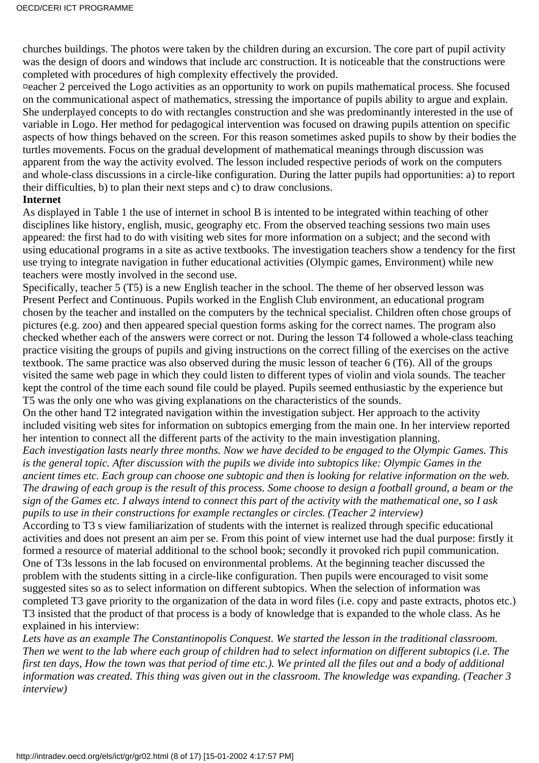churches buildings. The photos were taken by the children during an excursion. The core part of pupil activity was the design of doors and windows that include arc construction. It is noticeable that the constructions were completed with procedures of high complexity effectively the provided.

¤eacher 2 perceived the Logo activities as an opportunity to work on pupils mathematical process. She focused on the communicational aspect of mathematics, stressing the importance of pupils ability to argue and explain. She underplayed concepts to do with rectangles construction and she was predominantly interested in the use of variable in Logo. Her method for pedagogical intervention was focused on drawing pupils attention on specific aspects of how things behaved on the screen. For this reason sometimes asked pupils to show by their bodies the turtles movements. Focus on the gradual development of mathematical meanings through discussion was apparent from the way the activity evolved. The lesson included respective periods of work on the computers and whole-class discussions in a circle-like configuration. During the latter pupils had opportunities: a) to report their difficulties, b) to plan their next steps and c) to draw conclusions.

#### **Internet**

As displayed in Table 1 the use of internet in school B is intented to be integrated within teaching of other disciplines like history, english, music, geography etc. From the observed teaching sessions two main uses appeared: the first had to do with visiting web sites for more information on a subject; and the second with using educational programs in a site as active textbooks. The investigation teachers show a tendency for the first use trying to integrate navigation in futher educational activities (Olympic games, Environment) while new teachers were mostly involved in the second use.

Specifically, teacher 5 (T5) is a new English teacher in the school. The theme of her observed lesson was Present Perfect and Continuous. Pupils worked in the English Club environment, an educational program chosen by the teacher and installed on the computers by the technical specialist. Children often chose groups of pictures (e.g. zoo) and then appeared special question forms asking for the correct names. The program also checked whether each of the answers were correct or not. During the lesson T4 followed a whole-class teaching practice visiting the groups of pupils and giving instructions on the correct filling of the exercises on the active textbook. The same practice was also observed during the music lesson of teacher 6 (T6). All of the groups visited the same web page in which they could listen to different types of violin and viola sounds. The teacher kept the control of the time each sound file could be played. Pupils seemed enthusiastic by the experience but T5 was the only one who was giving explanations on the characteristics of the sounds.

On the other hand T2 integrated navigation within the investigation subject. Her approach to the activity included visiting web sites for information on subtopics emerging from the main one. In her interview reported her intention to connect all the different parts of the activity to the main investigation planning.

*Each investigation lasts nearly three months. Now we have decided to be engaged to the Olympic Games. This is the general topic. After discussion with the pupils we divide into subtopics like: Olympic Games in the ancient times etc. Each group can choose one subtopic and then is looking for relative information on the web. The drawing of each group is the result of this process. Some choose to design a football ground, a beam or the sign of the Games etc. I always intend to connect this part of the activity with the mathematical one, so I ask pupils to use in their constructions for example rectangles or circles. (Teacher 2 interview)*

According to T3 s view familiarization of students with the internet is realized through specific educational activities and does not present an aim per se. From this point of view internet use had the dual purpose: firstly it formed a resource of material additional to the school book; secondly it provoked rich pupil communication. One of T3s lessons in the lab focused on environmental problems. At the beginning teacher discussed the problem with the students sitting in a circle-like configuration. Then pupils were encouraged to visit some suggested sites so as to select information on different subtopics. When the selection of information was completed T3 gave priority to the organization of the data in word files (i.e. copy and paste extracts, photos etc.) T3 insisted that the product of that process is a body of knowledge that is expanded to the whole class. As he explained in his interview:

*Lets have as an example The Constantinopolis Conquest. We started the lesson in the traditional classroom. Then we went to the lab where each group of children had to select information on different subtopics (i.e. The first ten days, How the town was that period of time etc.). We printed all the files out and a body of additional information was created. This thing was given out in the classroom. The knowledge was expanding. (Teacher 3 interview)*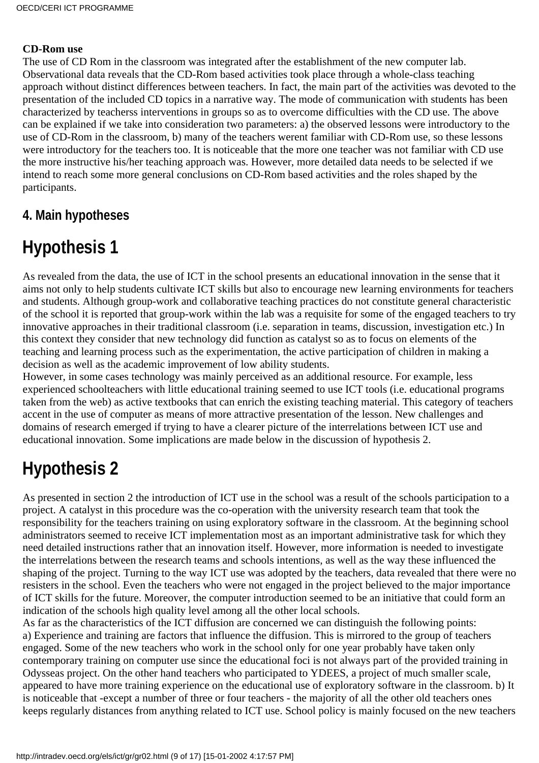#### **CD-Rom use**

The use of CD Rom in the classroom was integrated after the establishment of the new computer lab. Observational data reveals that the CD-Rom based activities took place through a whole-class teaching approach without distinct differences between teachers. In fact, the main part of the activities was devoted to the presentation of the included CD topics in a narrative way. The mode of communication with students has been characterized by teachers s interventions in groups so as to overcome difficulties with the CD use. The above can be explained if we take into consideration two parameters: a) the observed lessons were introductory to the use of CD-Rom in the classroom, b) many of the teachers weren t familiar with CD-Rom use, so these lessons were introductory for the teachers too. It is noticeable that the more one teacher was not familiar with CD use the more instructive his/her teaching approach was. However, more detailed data needs to be selected if we intend to reach some more general conclusions on CD-Rom based activities and the roles shaped by the participants.

### **4. Main hypotheses**

# **Hypothesis 1**

As revealed from the data, the use of ICT in the school presents an educational innovation in the sense that it aims not only to help students cultivate ICT skills but also to encourage new learning environments for teachers and students. Although group-work and collaborative teaching practices do not constitute general characteristic of the school it is reported that group-work within the lab was a requisite for some of the engaged teachers to try innovative approaches in their traditional classroom (i.e. separation in teams, discussion, investigation etc.) In this context they consider that new technology did function as catalyst so as to focus on elements of the teaching and learning process such as the experimentation, the active participation of children in making a decision as well as the academic improvement of low ability students.

However, in some cases technology was mainly perceived as an additional resource. For example, less experienced schoolteachers with little educational training seemed to use ICT tools (i.e. educational programs taken from the web) as active textbooks that can enrich the existing teaching material. This category of teachers accent in the use of computer as means of more attractive presentation of the lesson. New challenges and domains of research emerged if trying to have a clearer picture of the interrelations between ICT use and educational innovation. Some implications are made below in the discussion of hypothesis 2.

## **Hypothesis 2**

As presented in section 2 the introduction of ICT use in the school was a result of the school s participation to a project. A catalyst in this procedure was the co-operation with the university research team that took the responsibility for the teachers training on using exploratory software in the classroom. At the beginning school administrators seemed to receive ICT implementation most as an important administrative task for which they need detailed instructions rather that an innovation itself. However, more information is needed to investigate the interrelations between the research teams and schools intentions, as well as the way these influenced the shaping of the project. Turning to the way ICT use was adopted by the teachers, data revealed that there were no resisters in the school. Even the teachers who were not engaged in the project believed to the major importance of ICT skills for the future. Moreover, the computer introduction seemed to be an initiative that could form an indication of the school s high quality level among all the other local schools.

As far as the characteristics of the ICT diffusion are concerned we can distinguish the following points: a) Experience and training are factors that influence the diffusion. This is mirrored to the group of teachers engaged. Some of the new teachers who work in the school only for one year probably have taken only contemporary training on computer use since the educational foci is not always part of the provided training in Odysseas project. On the other hand teachers who participated to YDEES, a project of much smaller scale, appeared to have more training experience on the educational use of exploratory software in the classroom. b) It is noticeable that -except a number of three or four teachers - the majority of all the other old teachers ones keeps regularly distances from anything related to ICT use. School policy is mainly focused on the new teachers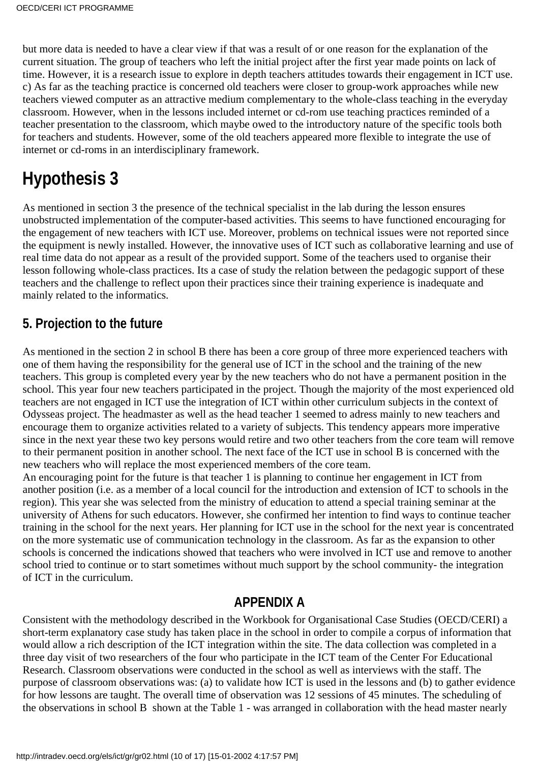but more data is needed to have a clear view if that was a result of or one reason for the explanation of the current situation. The group of teachers who left the initial project after the first year made points on lack of time. However, it is a research issue to explore in depth teachers attitudes towards their engagement in ICT use. c) As far as the teaching practice is concerned old teachers were closer to group-work approaches while new teachers viewed computer as an attractive medium complementary to the whole-class teaching in the everyday classroom. However, when in the lessons included internet or cd-rom use teaching practices reminded of a teacher presentation to the classroom, which maybe owed to the introductory nature of the specific tools both for teachers and students. However, some of the old teachers appeared more flexible to integrate the use of internet or cd-roms in an interdisciplinary framework.

# **Hypothesis 3**

As mentioned in section 3 the presence of the technical specialist in the lab during the lesson ensures unobstructed implementation of the computer-based activities. This seems to have functioned encouraging for the engagement of new teachers with ICT use. Moreover, problems on technical issues were not reported since the equipment is newly installed. However, the innovative uses of ICT such as collaborative learning and use of real time data do not appear as a result of the provided support. Some of the teachers used to organise their lesson following whole-class practices. It s a case of study the relation between the pedagogic support of these teachers and the challenge to reflect upon their practices since their training experience is inadequate and mainly related to the informatics.

### **5. Projection to the future**

As mentioned in the section 2 in school B there has been a core group of three more experienced teachers with one of them having the responsibility for the general use of ICT in the school and the training of the new teachers. This group is completed every year by the new teachers who do not have a permanent position in the school. This year four new teachers participated in the project. Though the majority of the most experienced old teachers are not engaged in ICT use the integration of ICT within other curriculum subjects in the context of Odysseas project. The headmaster as well as the head teacher 1 seemed to adress mainly to new teachers and encourage them to organize activities related to a variety of subjects. This tendency appears more imperative since in the next year these two key persons would retire and two other teachers from the core team will remove to their permanent position in another school. The next face of the ICT use in school B is concerned with the new teachers who will replace the most experienced members of the core team.

An encouraging point for the future is that teacher 1 is planning to continue her engagement in ICT from another position (i.e. as a member of a local council for the introduction and extension of ICT to schools in the region). This year she was selected from the ministry of education to attend a special training seminar at the university of Athens for such educators. However, she confirmed her intention to find ways to continue teacher training in the school for the next years. Her planning for ICT use in the school for the next year is concentrated on the more systematic use of communication technology in the classroom. As far as the expansion to other schools is concerned the indications showed that teachers who were involved in ICT use and remove to another school tried to continue or to start sometimes without much support by the school community- the integration of ICT in the curriculum.

### **APPENDIX A**

Consistent with the methodology described in the Workbook for Organisational Case Studies (OECD/CERI) a short-term explanatory case study has taken place in the school in order to compile a corpus of information that would allow a rich description of the ICT integration within the site. The data collection was completed in a three day visit of two researchers of the four who participate in the ICT team of the Center For Educational Research. Classroom observations were conducted in the school as well as interviews with the staff. The purpose of classroom observations was: (a) to validate how ICT is used in the lessons and (b) to gather evidence for how lessons are taught. The overall time of observation was 12 sessions of 45 minutes. The scheduling of the observations in school B shown at the Table 1 - was arranged in collaboration with the head master nearly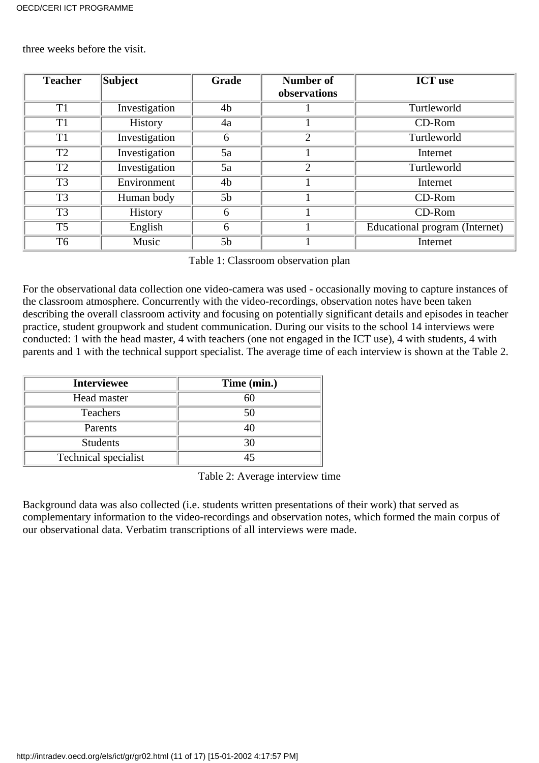three weeks before the visit.

| <b>Teacher</b> | Subject        | <b>Grade</b>   | <b>Number of</b><br>observations | <b>ICT</b> use                 |
|----------------|----------------|----------------|----------------------------------|--------------------------------|
| T <sub>1</sub> | Investigation  | 4b             |                                  | Turtleworld                    |
| T <sub>1</sub> | History        | 4a             |                                  | $CD-Rom$                       |
| T <sub>1</sub> | Investigation  | 6              | 2                                | Turtleworld                    |
| T2             | Investigation  | 5a             |                                  | Internet                       |
| T2             | Investigation  | 5a             | $\mathcal{D}$                    | Turtleworld                    |
| T <sub>3</sub> | Environment    | 4 <sub>b</sub> |                                  | Internet                       |
| T <sub>3</sub> | Human body     | 5 <sub>b</sub> |                                  | CD-Rom                         |
| T <sub>3</sub> | <b>History</b> | 6              |                                  | CD-Rom                         |
| T <sub>5</sub> | English        | 6              |                                  | Educational program (Internet) |
| T <sub>6</sub> | Music          | 5 <sub>b</sub> |                                  | Internet                       |

Table 1: Classroom observation plan

For the observational data collection one video-camera was used - occasionally moving to capture instances of the classroom atmosphere. Concurrently with the video-recordings, observation notes have been taken describing the overall classroom activity and focusing on potentially significant details and episodes in teacher practice, student groupwork and student communication. During our visits to the school 14 interviews were conducted: 1 with the head master, 4 with teachers (one not engaged in the ICT use), 4 with students, 4 with parents and 1 with the technical support specialist. The average time of each interview is shown at the Table 2.

| <b>Interviewee</b>   | Time (min.) |
|----------------------|-------------|
| Head master          | 60          |
| <b>Teachers</b>      | 50          |
| Parents              | 40          |
| <b>Students</b>      | 30          |
| Technical specialist |             |

Table 2: Average interview time

Background data was also collected (i.e. students written presentations of their work) that served as complementary information to the video-recordings and observation notes, which formed the main corpus of our observational data. Verbatim transcriptions of all interviews were made.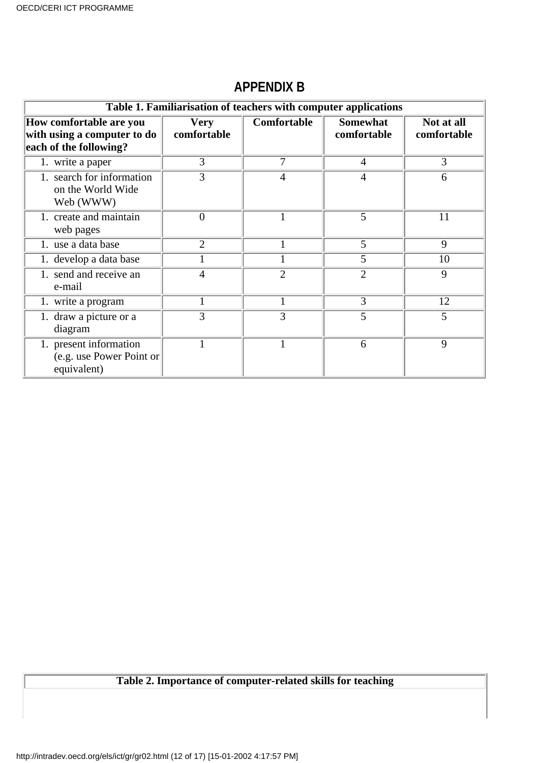|                                                                                  | Table 1. Familiarisation of teachers with computer applications |                |                                |                           |  |  |  |
|----------------------------------------------------------------------------------|-----------------------------------------------------------------|----------------|--------------------------------|---------------------------|--|--|--|
| How comfortable are you<br>with using a computer to do<br>each of the following? | <b>Very</b><br>comfortable                                      | Comfortable    | <b>Somewhat</b><br>comfortable | Not at all<br>comfortable |  |  |  |
| 1. write a paper                                                                 | 3                                                               | 7              | $\overline{4}$                 | 3                         |  |  |  |
| 1. search for information<br>on the World Wide<br>Web (WWW)                      | 3                                                               | 4              | 4                              | 6                         |  |  |  |
| 1. create and maintain<br>web pages                                              | 0                                                               |                | 5                              | 11                        |  |  |  |
| 1. use a data base                                                               | $\overline{2}$                                                  |                | 5                              | 9                         |  |  |  |
| 1. develop a data base                                                           |                                                                 |                | 5                              | 10                        |  |  |  |
| 1. send and receive an<br>e-mail                                                 | 4                                                               | $\overline{2}$ | $\overline{2}$                 | 9                         |  |  |  |
| 1. write a program                                                               |                                                                 |                | 3                              | 12                        |  |  |  |
| 1. draw a picture or a<br>diagram                                                | 3                                                               | 3              | 5                              | 5                         |  |  |  |
| 1. present information<br>(e.g. use Power Point or<br>equivalent)                |                                                                 |                | 6                              | 9                         |  |  |  |

### **APPENDIX B**

### **Table 2. Importance of computer-related skills for teaching**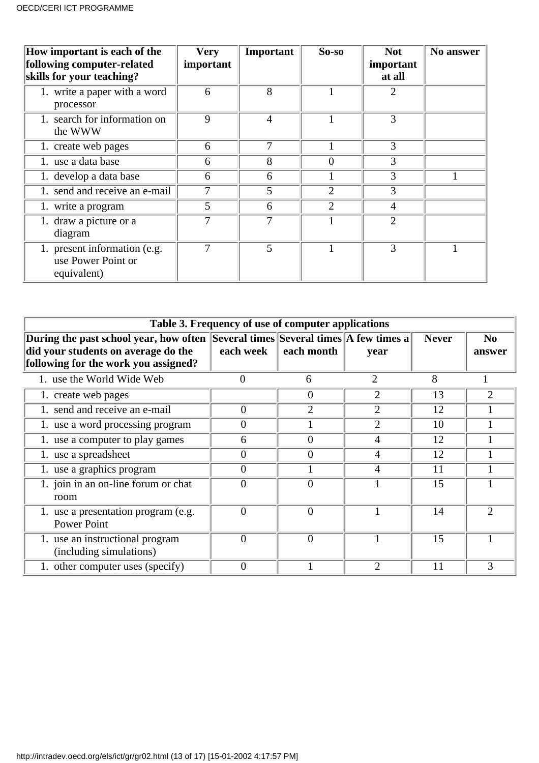| How important is each of the<br>following computer-related<br>skills for your teaching? | <b>Very</b><br>important | Important      | $So-so$        | <b>Not</b><br>important<br>at all | No answer |
|-----------------------------------------------------------------------------------------|--------------------------|----------------|----------------|-----------------------------------|-----------|
| 1. write a paper with a word<br>processor                                               | 6                        | 8              |                | 2                                 |           |
| 1. search for information on<br>the WWW                                                 | 9                        | $\overline{4}$ |                | 3                                 |           |
| 1. create web pages                                                                     | 6                        | 7              |                | 3                                 |           |
| 1. use a data base                                                                      | 6                        | 8              | $\theta$       | 3                                 |           |
| 1. develop a data base                                                                  | 6                        | 6              |                | 3                                 |           |
| 1. send and receive an e-mail                                                           | 7                        | 5              | $\overline{2}$ | 3                                 |           |
| 1. write a program                                                                      | 5                        | 6              | $\overline{2}$ | 4                                 |           |
| 1. draw a picture or a<br>diagram                                                       | 7                        | 7              |                | $\overline{2}$                    |           |
| 1. present information (e.g.<br>use Power Point or<br>equivalent)                       | 7                        | 5              |                | 3                                 |           |

| Table 3. Frequency of use of computer applications                                                                                                              |           |            |                |              |                          |  |
|-----------------------------------------------------------------------------------------------------------------------------------------------------------------|-----------|------------|----------------|--------------|--------------------------|--|
| During the past school year, how often Several times Several times A few times a<br>did your students on average do the<br>following for the work you assigned? | each week | each month | year           | <b>Never</b> | N <sub>0</sub><br>answer |  |
| 1. use the World Wide Web                                                                                                                                       | 0         | 6          | $\overline{2}$ | 8            |                          |  |
| 1. create web pages                                                                                                                                             |           | $\theta$   | 2              | 13           |                          |  |
| 1. send and receive an e-mail                                                                                                                                   | 0         | 2          | 2              | 12           |                          |  |
| 1. use a word processing program                                                                                                                                | 0         |            | $\overline{2}$ | 10           |                          |  |
| 1. use a computer to play games                                                                                                                                 | 6         | $\theta$   | 4              | 12           |                          |  |
| 1. use a spreadsheet                                                                                                                                            | $\Omega$  | $\theta$   | 4              | 12           |                          |  |
| 1. use a graphics program                                                                                                                                       | 0         |            | 4              | 11           |                          |  |
| 1. join in an on-line forum or chat<br>room                                                                                                                     | $\theta$  | $\theta$   |                | 15           |                          |  |
| 1. use a presentation program (e.g.<br><b>Power Point</b>                                                                                                       | $\Omega$  | $\Omega$   |                | 14           | $\mathcal{D}$            |  |
| 1. use an instructional program<br>(including simulations)                                                                                                      | $\Omega$  | $\theta$   |                | 15           |                          |  |
| 1. other computer uses (specify)                                                                                                                                | $\Omega$  |            | $\overline{2}$ | 11           |                          |  |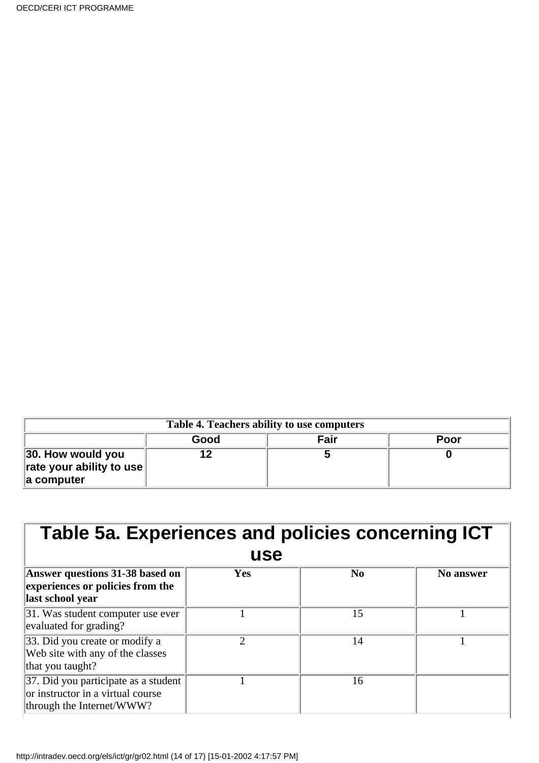| Table 4. Teachers ability to use computers                            |      |      |      |  |
|-----------------------------------------------------------------------|------|------|------|--|
|                                                                       | Good | Fair | Poor |  |
| 30. How would you<br>$\ $ rate your ability to use<br>$\ $ a computer |      |      |      |  |

| Table 5a. Experiences and policies concerning ICT<br>use                                               |     |                |           |
|--------------------------------------------------------------------------------------------------------|-----|----------------|-----------|
| <b>Answer questions 31-38 based on</b><br>experiences or policies from the<br>last school year         | Yes | N <sub>0</sub> | No answer |
| 31. Was student computer use ever<br>evaluated for grading?                                            |     | 15             |           |
| 33. Did you create or modify a<br>Web site with any of the classes<br>that you taught?                 | っ   | 14             |           |
| 37. Did you participate as a student<br>or instructor in a virtual course<br>through the Internet/WWW? |     | 16             |           |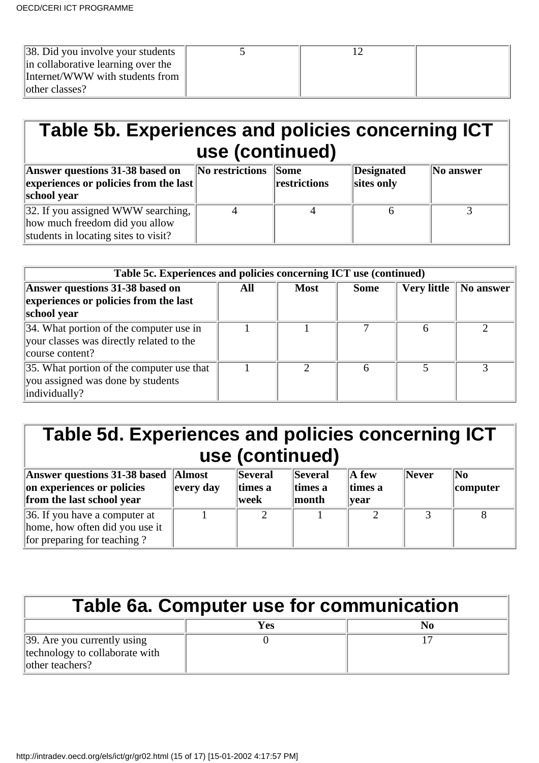| $\parallel$ 38. Did you involve your students |  |  |
|-----------------------------------------------|--|--|
| in collaborative learning over the            |  |  |
| Internet/WWW with students from               |  |  |
| other classes?                                |  |  |

# **Table 5b. Experiences and policies concerning ICT use (continued)**

| Answer questions 31-38 based on<br>$\left\Vert$ experiences or policies from the last<br>school year                     | No restrictions Some | restrictions | Designated<br>sites only | $\ $ No answer |
|--------------------------------------------------------------------------------------------------------------------------|----------------------|--------------|--------------------------|----------------|
| 32. If you assigned WWW searching, $\parallel$<br>how much freedom did you allow<br>students in locating sites to visit? |                      |              |                          |                |

| Table 5c. Experiences and policies concerning ICT use (continued)                                      |     |             |             |                    |           |
|--------------------------------------------------------------------------------------------------------|-----|-------------|-------------|--------------------|-----------|
| Answer questions 31-38 based on<br>experiences or policies from the last<br>school year                | All | <b>Most</b> | <b>Some</b> | <b>Very little</b> | No answer |
| 34. What portion of the computer use in<br>your classes was directly related to the<br>course content? |     |             |             |                    |           |
| 35. What portion of the computer use that<br>you assigned was done by students<br>individually?        |     |             | 6           |                    |           |

## **Table 5d. Experiences and policies concerning ICT use (continued)**

| Answer questions 31-38 based Almost<br>on experiences or policies<br>from the last school year         | every day | Several<br>times a<br>week | <b>Several</b><br>times a<br>$\parallel$ month | $\mathbf A$ few<br>times a<br><b>vear</b> | Never | No<br>computer |
|--------------------------------------------------------------------------------------------------------|-----------|----------------------------|------------------------------------------------|-------------------------------------------|-------|----------------|
| $\vert$ 36. If you have a computer at<br>home, how often did you use it<br>for preparing for teaching? |           |                            |                                                |                                           |       |                |

| <b>Table 6a. Computer use for communication</b>                                  |     |    |  |  |
|----------------------------------------------------------------------------------|-----|----|--|--|
|                                                                                  | Yes | No |  |  |
| 39. Are you currently using<br>technology to collaborate with<br>other teachers? |     |    |  |  |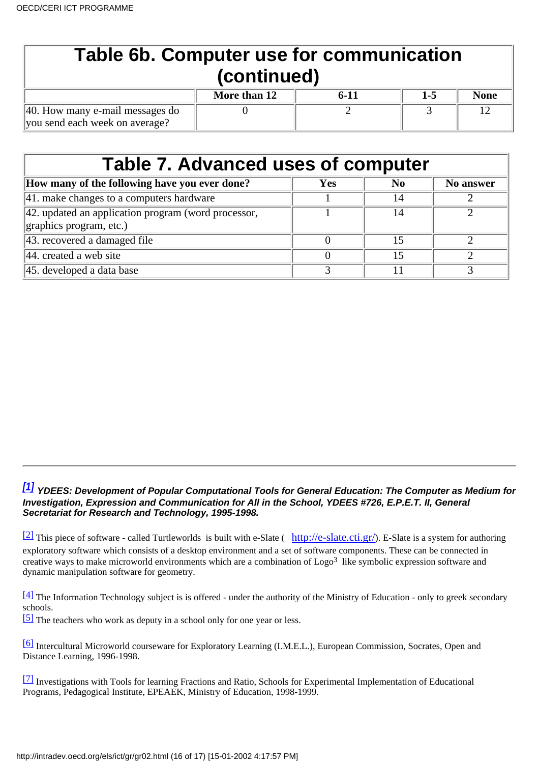| <b>Table 6b. Computer use for communication</b><br>(continued)    |              |          |         |             |  |  |
|-------------------------------------------------------------------|--------------|----------|---------|-------------|--|--|
|                                                                   | More than 12 | $6 - 11$ | $1 - 5$ | <b>None</b> |  |  |
| 40. How many e-mail messages do<br>you send each week on average? |              |          |         |             |  |  |

| <b>Table 7. Advanced uses of computer</b>                   |     |     |           |  |  |  |
|-------------------------------------------------------------|-----|-----|-----------|--|--|--|
| How many of the following have you ever done?               | Yes | No. | No answer |  |  |  |
| $ 41$ . make changes to a computer s hardware               |     | 14  |           |  |  |  |
| $\vert$ 42. updated an application program (word processor, |     | 14  |           |  |  |  |
| graphics program, etc.)                                     |     |     |           |  |  |  |
| 43. recovered a damaged file                                |     | 15  |           |  |  |  |
| $ 44$ . created a web site                                  |     | 15  |           |  |  |  |
| 45. developed a data base                                   |     |     |           |  |  |  |

#### <span id="page-15-0"></span>*[\[1\]](#page-1-0)* **YDEES: Development of Popular Computational Tools for General Education: The Computer as Medium for Investigation, Expression and Communication for All in the School, YDEES #726, E.P.E.T. II, General Secretariat for Research and Technology, 1995-1998.**

<span id="page-15-1"></span> $\frac{[2]}{[2]}$  $\frac{[2]}{[2]}$  $\frac{[2]}{[2]}$  This piece of software - called Turtleworlds is built with e-Slate (<http://e-slate.cti.gr/>). E-Slate is a system for authoring exploratory software which consists of a desktop environment and a set of software components. These can be connected in creative ways to make microworld environments which are a combination of  $\text{Logo}^3$  like symbolic expression software and dynamic manipulation software for geometry.

<span id="page-15-2"></span>[\[4\]](#page-1-2) The Information Technology subject is is offered - under the authority of the Ministry of Education - only to greek secondary schools.

<span id="page-15-3"></span>[\[5\]](#page-2-0) The teachers who work as deputy in a school only for one year or less.

<span id="page-15-4"></span>[\[6\]](#page-2-1) Intercultural Microworld courseware for Exploratory Learning (I.M.E.L.), European Commission, Socrates, Open and Distance Learning, 1996-1998.

<span id="page-15-5"></span>[\[7\]](#page-2-2) Investigations with Tools for learning Fractions and Ratio, Schools for Experimental Implementation of Educational Programs, Pedagogical Institute, EPEAEK, Ministry of Education, 1998-1999.